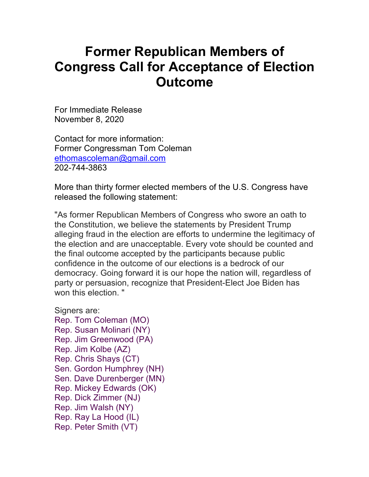## **Former Republican Members of Congress Call for Acceptance of Election Outcome**

For Immediate Release November 8, 2020

Contact for more information: Former Congressman Tom Coleman ethomascoleman@gmail.com 202-744-3863

More than thirty former elected members of the U.S. Congress have released the following statement:

"As former Republican Members of Congress who swore an oath to the Constitution, we believe the statements by President Trump alleging fraud in the election are efforts to undermine the legitimacy of the election and are unacceptable. Every vote should be counted and the final outcome accepted by the participants because public confidence in the outcome of our elections is a bedrock of our democracy. Going forward it is our hope the nation will, regardless of party or persuasion, recognize that President-Elect Joe Biden has won this election."

Signers are: Rep. Tom Coleman (MO) Rep. Susan Molinari (NY) Rep. Jim Greenwood (PA) Rep. Jim Kolbe (AZ) Rep. Chris Shays (CT) Sen. Gordon Humphrey (NH) Sen. Dave Durenberger (MN) Rep. Mickey Edwards (OK) Rep. Dick Zimmer (NJ) Rep. Jim Walsh (NY) Rep. Ray La Hood (IL) Rep. Peter Smith (VT)